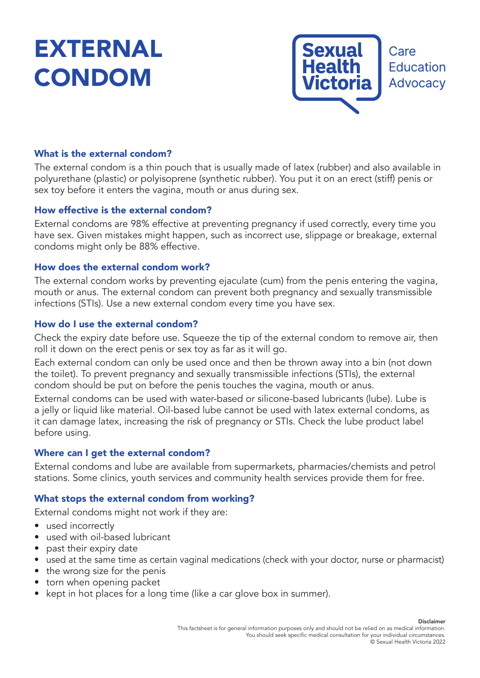# EXTERNAL CONDOM



# What is the external condom?

The external condom is a thin pouch that is usually made of latex (rubber) and also available in polyurethane (plastic) or polyisoprene (synthetic rubber). You put it on an erect (stiff) penis or sex toy before it enters the vagina, mouth or anus during sex.

## How effective is the external condom?

External condoms are 98% effective at preventing pregnancy if used correctly, every time you have sex. Given mistakes might happen, such as incorrect use, slippage or breakage, external condoms might only be 88% effective.

## How does the external condom work?

The external condom works by preventing ejaculate (cum) from the penis entering the vagina, mouth or anus. The external condom can prevent both pregnancy and sexually transmissible infections (STIs). Use a new external condom every time you have sex.

## How do I use the external condom?

Check the expiry date before use. Squeeze the tip of the external condom to remove air, then roll it down on the erect penis or sex toy as far as it will go.

Each external condom can only be used once and then be thrown away into a bin (not down the toilet). To prevent pregnancy and sexually transmissible infections (STIs), the external condom should be put on before the penis touches the vagina, mouth or anus.

External condoms can be used with water-based or silicone-based lubricants (lube). Lube is a jelly or liquid like material. Oil-based lube cannot be used with latex external condoms, as it can damage latex, increasing the risk of pregnancy or STIs. Check the lube product label before using.

### Where can I get the external condom?

External condoms and lube are available from supermarkets, pharmacies/chemists and petrol stations. Some clinics, youth services and community health services provide them for free.

### What stops the external condom from working?

External condoms might not work if they are:

- used incorrectly
- used with oil-based lubricant
- past their expiry date
- used at the same time as certain vaginal medications (check with your doctor, nurse or pharmacist)
- the wrong size for the penis
- torn when opening packet
- kept in hot places for a long time (like a car glove box in summer).